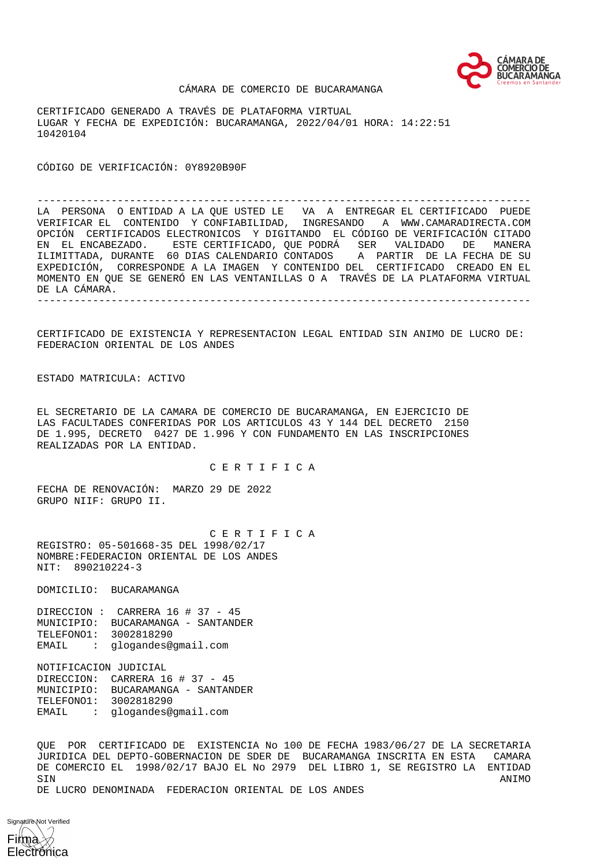

#### CÁMARA DE COMERCIO DE BUCARAMANGA

CERTIFICADO GENERADO A TRAVÉS DE PLATAFORMA VIRTUAL LUGAR Y FECHA DE EXPEDICIÓN: BUCARAMANGA, 2022/04/01 HORA: 14:22:51 10420104

CÓDIGO DE VERIFICACIÓN: 0Y8920B90F

-------------------------------------------------------------------------------- LA PERSONA O ENTIDAD A LA QUE USTED LE VA A ENTREGAR EL CERTIFICADO PUEDE VERIFICAR EL CONTENIDO Y CONFIABILIDAD, INGRESANDO A WWW.CAMARADIRECTA.COM OPCIÓN CERTIFICADOS ELECTRONICOS Y DIGITANDO EL CÓDIGO DE VERIFICACIÓN CITADO EN EL ENCABEZADO. ESTE CERTIFICADO, QUE PODRÁ SER VALIDADO DE MANERA ILIMITTADA, DURANTE 60 DIAS CALENDARIO CONTADOS A PARTIR DE LA FECHA DE SU EXPEDICIÓN, CORRESPONDE A LA IMAGEN Y CONTENIDO DEL CERTIFICADO CREADO EN EL MOMENTO EN QUE SE GENERÓ EN LAS VENTANILLAS O A TRAVÉS DE LA PLATAFORMA VIRTUAL DE LA CÁMARA. --------------------------------------------------------------------------------

CERTIFICADO DE EXISTENCIA Y REPRESENTACION LEGAL ENTIDAD SIN ANIMO DE LUCRO DE: FEDERACION ORIENTAL DE LOS ANDES

ESTADO MATRICULA: ACTIVO

EL SECRETARIO DE LA CAMARA DE COMERCIO DE BUCARAMANGA, EN EJERCICIO DE LAS FACULTADES CONFERIDAS POR LOS ARTICULOS 43 Y 144 DEL DECRETO 2150 DE 1.995, DECRETO 0427 DE 1.996 Y CON FUNDAMENTO EN LAS INSCRIPCIONES REALIZADAS POR LA ENTIDAD.

C E R T I F I C A

FECHA DE RENOVACIÓN: MARZO 29 DE 2022 GRUPO NIIF: GRUPO II.

 C E R T I F I C A REGISTRO: 05-501668-35 DEL 1998/02/17 NOMBRE:FEDERACION ORIENTAL DE LOS ANDES NIT: 890210224-3

DOMICILIO: BUCARAMANGA

DIRECCION : CARRERA 16 # 37 - 45 MUNICIPIO: BUCARAMANGA - SANTANDER TELEFONO1: 3002818290 EMAIL : glogandes@gmail.com

NOTIFICACION JUDICIAL DIRECCION: CARRERA 16 # 37 - 45 MUNICIPIO: BUCARAMANGA - SANTANDER TELEFONO1: 3002818290 EMAIL : glogandes@gmail.com

QUE POR CERTIFICADO DE EXISTENCIA No 100 DE FECHA 1983/06/27 DE LA SECRETARIA JURIDICA DEL DEPTO-GOBERNACION DE SDER DE BUCARAMANGA INSCRITA EN ESTA CAMARA DE COMERCIO EL 1998/02/17 BAJO EL No 2979 DEL LIBRO 1, SE REGISTRO LA ENTIDAD SIN ANIMO DE LUCRO DENOMINADA FEDERACION ORIENTAL DE LOS ANDES

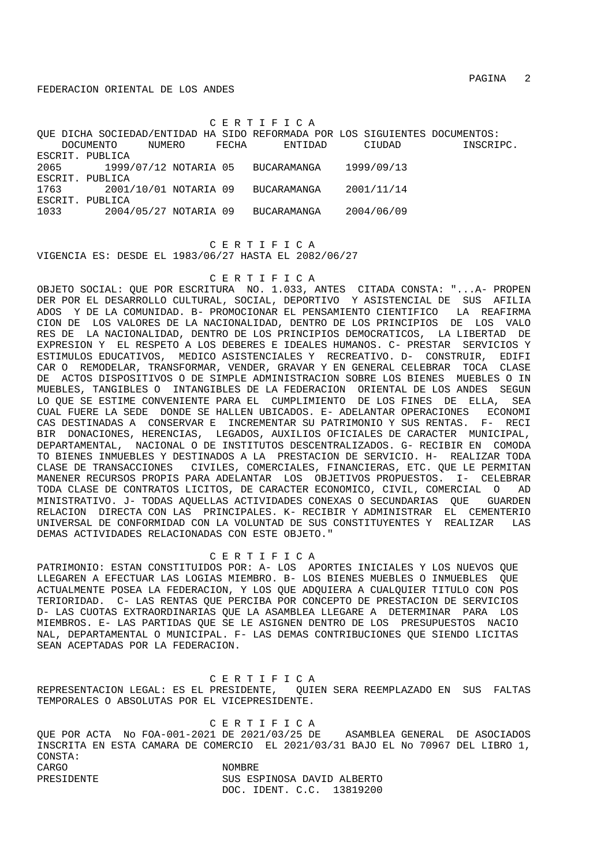C E R T I F I C A

QUE DICHA SOCIEDAD/ENTIDAD HA SIDO REFORMADA POR LOS SIGUIENTES DOCUMENTOS: DOCUMENTO NUMERO FECHA ENTIDAD CIUDAD INSCRIPC. ESCRIT. PUBLICA 2065 1999/07/12 NOTARIA 05 BUCARAMANGA 1999/09/13 ESCRIT. PUBLICA 1763 2001/10/01 NOTARIA 09 BUCARAMANGA 2001/11/14 ESCRIT. PUBLICA 1033 2004/05/27 NOTARIA 09 BUCARAMANGA 2004/06/09

 C E R T I F I C A VIGENCIA ES: DESDE EL 1983/06/27 HASTA EL 2082/06/27

# C E R T I F I C A

OBJETO SOCIAL: QUE POR ESCRITURA NO. 1.033, ANTES CITADA CONSTA: "...A- PROPEN DER POR EL DESARROLLO CULTURAL, SOCIAL, DEPORTIVO Y ASISTENCIAL DE SUS AFILIA ADOS Y DE LA COMUNIDAD. B- PROMOCIONAR EL PENSAMIENTO CIENTIFICO LA REAFIRMA CION DE LOS VALORES DE LA NACIONALIDAD, DENTRO DE LOS PRINCIPIOS DE LOS VALO RES DE LA NACIONALIDAD, DENTRO DE LOS PRINCIPIOS DEMOCRATICOS, LA LIBERTAD DE EXPRESION Y EL RESPETO A LOS DEBERES E IDEALES HUMANOS. C- PRESTAR SERVICIOS Y ESTIMULOS EDUCATIVOS, MEDICO ASISTENCIALES Y RECREATIVO. D- CONSTRUIR, EDIFI CAR O REMODELAR, TRANSFORMAR, VENDER, GRAVAR Y EN GENERAL CELEBRAR TOCA CLASE DE ACTOS DISPOSITIVOS O DE SIMPLE ADMINISTRACION SOBRE LOS BIENES MUEBLES O IN MUEBLES, TANGIBLES O INTANGIBLES DE LA FEDERACION ORIENTAL DE LOS ANDES SEGUN LO QUE SE ESTIME CONVENIENTE PARA EL CUMPLIMIENTO DE LOS FINES DE ELLA, SEA CUAL FUERE LA SEDE DONDE SE HALLEN UBICADOS. E- ADELANTAR OPERACIONES ECONOMI CAS DESTINADAS A CONSERVAR E INCREMENTAR SU PATRIMONIO Y SUS RENTAS. F- RECI BIR DONACIONES, HERENCIAS, LEGADOS, AUXILIOS OFICIALES DE CARACTER MUNICIPAL, DEPARTAMENTAL, NACIONAL O DE INSTITUTOS DESCENTRALIZADOS. G- RECIBIR EN COMODA TO BIENES INMUEBLES Y DESTINADOS A LA PRESTACION DE SERVICIO. H- REALIZAR TODA CLASE DE TRANSACCIONES CIVILES, COMERCIALES, FINANCIERAS, ETC. QUE LE PERMITAN MANENER RECURSOS PROPIS PARA ADELANTAR LOS OBJETIVOS PROPUESTOS. I- CELEBRAR TODA CLASE DE CONTRATOS LICITOS, DE CARACTER ECONOMICO, CIVIL, COMERCIAL O AD MINISTRATIVO. J- TODAS AQUELLAS ACTIVIDADES CONEXAS O SECUNDARIAS QUE GUARDEN RELACION DIRECTA CON LAS PRINCIPALES. K- RECIBIR Y ADMINISTRAR EL CEMENTERIO UNIVERSAL DE CONFORMIDAD CON LA VOLUNTAD DE SUS CONSTITUYENTES Y REALIZAR LAS DEMAS ACTIVIDADES RELACIONADAS CON ESTE OBJETO."

### C E R T I F I C A

PATRIMONIO: ESTAN CONSTITUIDOS POR: A- LOS APORTES INICIALES Y LOS NUEVOS QUE LLEGAREN A EFECTUAR LAS LOGIAS MIEMBRO. B- LOS BIENES MUEBLES O INMUEBLES QUE ACTUALMENTE POSEA LA FEDERACION, Y LOS QUE ADQUIERA A CUALQUIER TITULO CON POS TERIORIDAD. C- LAS RENTAS QUE PERCIBA POR CONCEPTO DE PRESTACION DE SERVICIOS D- LAS CUOTAS EXTRAORDINARIAS QUE LA ASAMBLEA LLEGARE A DETERMINAR PARA LOS MIEMBROS. E- LAS PARTIDAS QUE SE LE ASIGNEN DENTRO DE LOS PRESUPUESTOS NACIO NAL, DEPARTAMENTAL O MUNICIPAL. F- LAS DEMAS CONTRIBUCIONES QUE SIENDO LICITAS SEAN ACEPTADAS POR LA FEDERACION.

 C E R T I F I C A REPRESENTACION LEGAL: ES EL PRESIDENTE, QUIEN SERA REEMPLAZADO EN SUS FALTAS TEMPORALES O ABSOLUTAS POR EL VICEPRESIDENTE.

 C E R T I F I C A QUE POR ACTA No FOA-001-2021 DE 2021/03/25 DE ASAMBLEA GENERAL DE ASOCIADOS INSCRITA EN ESTA CAMARA DE COMERCIO EL 2021/03/31 BAJO EL No 70967 DEL LIBRO 1, CONSTA: CARGO NOMBRE PRESIDENTE SUS ESPINOSA DAVID ALBERTO DOC. IDENT. C.C. 13819200

PAGINA 2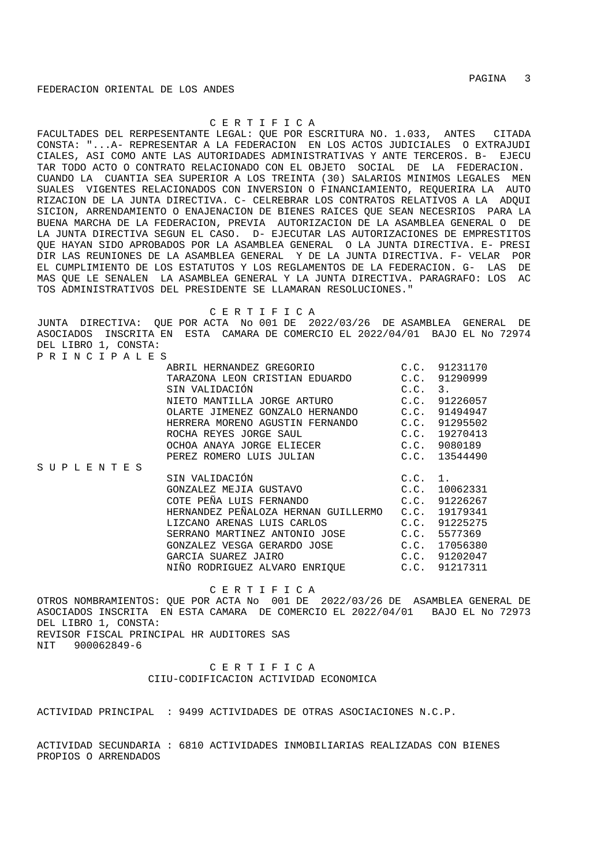# C E R T I F I C A

FACULTADES DEL RERPESENTANTE LEGAL: QUE POR ESCRITURA NO. 1.033, ANTES CITADA CONSTA: "...A- REPRESENTAR A LA FEDERACION EN LOS ACTOS JUDICIALES O EXTRAJUDI CIALES, ASI COMO ANTE LAS AUTORIDADES ADMINISTRATIVAS Y ANTE TERCEROS. B- EJECU TAR TODO ACTO O CONTRATO RELACIONADO CON EL OBJETO SOCIAL DE LA FEDERACION. CUANDO LA CUANTIA SEA SUPERIOR A LOS TREINTA (30) SALARIOS MINIMOS LEGALES MEN SUALES VIGENTES RELACIONADOS CON INVERSION O FINANCIAMIENTO, REQUERIRA LA AUTO RIZACION DE LA JUNTA DIRECTIVA. C- CELREBRAR LOS CONTRATOS RELATIVOS A LA ADQUI SICION, ARRENDAMIENTO O ENAJENACION DE BIENES RAICES QUE SEAN NECESRIOS PARA LA BUENA MARCHA DE LA FEDERACION, PREVIA AUTORIZACION DE LA ASAMBLEA GENERAL O DE LA JUNTA DIRECTIVA SEGUN EL CASO. D- EJECUTAR LAS AUTORIZACIONES DE EMPRESTITOS QUE HAYAN SIDO APROBADOS POR LA ASAMBLEA GENERAL O LA JUNTA DIRECTIVA. E- PRESI DIR LAS REUNIONES DE LA ASAMBLEA GENERAL Y DE LA JUNTA DIRECTIVA. F- VELAR POR EL CUMPLIMIENTO DE LOS ESTATUTOS Y LOS REGLAMENTOS DE LA FEDERACION. G- LAS DE MAS QUE LE SENALEN LA ASAMBLEA GENERAL Y LA JUNTA DIRECTIVA. PARAGRAFO: LOS AC TOS ADMINISTRATIVOS DEL PRESIDENTE SE LLAMARAN RESOLUCIONES."

C E R T I F I C A

JUNTA DIRECTIVA: QUE POR ACTA No 001 DE 2022/03/26 DE ASAMBLEA GENERAL DE ASOCIADOS INSCRITA EN ESTA CAMARA DE COMERCIO EL 2022/04/01 BAJO EL No 72974 DEL LIBRO 1, CONSTA: P R I N C I P A L E S

|                   | ABRIL HERNANDEZ GREGORIO                 | C.C.    | 91231170 |
|-------------------|------------------------------------------|---------|----------|
|                   |                                          |         |          |
|                   | TARAZONA LEON CRISTIAN EDUARDO           | C.C.    | 91290999 |
|                   | SIN VALIDACIÓN                           | C.C.    | 3.       |
|                   | NIETO MANTILLA JORGE ARTURO              | C.C.    | 91226057 |
|                   | OLARTE JIMENEZ GONZALO HERNANDO C.C.     |         | 91494947 |
|                   | HERRERA MORENO AGUSTIN FERNANDO C.C.     |         | 91295502 |
|                   | ROCHA REYES JORGE SAUL                   | C.C.    | 19270413 |
|                   | OCHOA ANAYA JORGE ELIECER                | C.C.    | 9080189  |
|                   | PEREZ ROMERO LUIS JULIAN                 | C.C.    | 13544490 |
| S U P L E N T E S |                                          |         |          |
|                   | SIN VALIDACIÓN                           | C.C. 1. |          |
|                   | GONZALEZ MEJIA GUSTAVO                   | C.C.    | 10062331 |
|                   | COTE PEÑA LUIS FERNANDO<br>C.C.          |         | 91226267 |
|                   | HERNANDEZ PEÑALOZA HERNAN GUILLERMO C.C. |         | 19179341 |
|                   | LIZCANO ARENAS LUIS CARLOS               | C.C.    | 91225275 |
|                   | SERRANO MARTINEZ ANTONIO JOSE C.C.       |         | 5577369  |
|                   | GONZALEZ VESGA GERARDO JOSE C.C.         |         | 17056380 |
|                   | GARCIA SUAREZ JAIRO                      | C.C.    | 91202047 |
|                   | NIÑO RODRIGUEZ ALVARO ENRIOUE            | C.C.    | 91217311 |

C E R T I F I C A

OTROS NOMBRAMIENTOS: QUE POR ACTA No 001 DE 2022/03/26 DE ASAMBLEA GENERAL DE ASOCIADOS INSCRITA EN ESTA CAMARA DE COMERCIO EL 2022/04/01 BAJO EL No 72973 DEL LIBRO 1, CONSTA: REVISOR FISCAL PRINCIPAL HR AUDITORES SAS NIT 900062849-6

> C E R T I F I C A CIIU-CODIFICACION ACTIVIDAD ECONOMICA

ACTIVIDAD PRINCIPAL : 9499 ACTIVIDADES DE OTRAS ASOCIACIONES N.C.P.

ACTIVIDAD SECUNDARIA : 6810 ACTIVIDADES INMOBILIARIAS REALIZADAS CON BIENES PROPIOS O ARRENDADOS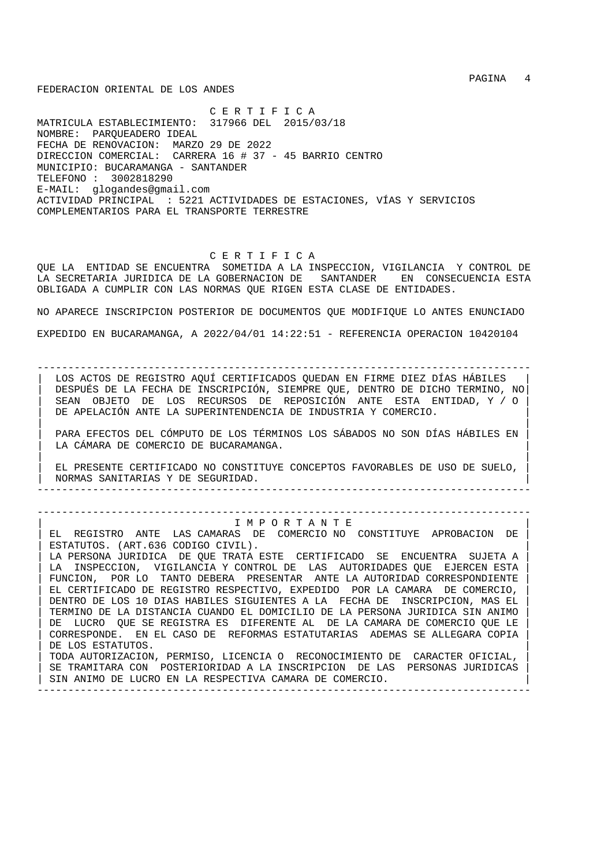C E R T I F I C A MATRICULA ESTABLECIMIENTO: 317966 DEL 2015/03/18 NOMBRE: PARQUEADERO IDEAL FECHA DE RENOVACION: MARZO 29 DE 2022 DIRECCION COMERCIAL: CARRERA 16 # 37 - 45 BARRIO CENTRO MUNICIPIO: BUCARAMANGA - SANTANDER TELEFONO : 3002818290 E-MAIL: glogandes@gmail.com ACTIVIDAD PRINCIPAL : 5221 ACTIVIDADES DE ESTACIONES, VÍAS Y SERVICIOS COMPLEMENTARIOS PARA EL TRANSPORTE TERRESTRE

# C E R T I F I C A

QUE LA ENTIDAD SE ENCUENTRA SOMETIDA A LA INSPECCION, VIGILANCIA Y CONTROL DE LA SECRETARIA JURIDICA DE LA GOBERNACION DE SANTANDER EN CONSECUENCIA ESTA OBLIGADA A CUMPLIR CON LAS NORMAS QUE RIGEN ESTA CLASE DE ENTIDADES.

NO APARECE INSCRIPCION POSTERIOR DE DOCUMENTOS QUE MODIFIQUE LO ANTES ENUNCIADO EXPEDIDO EN BUCARAMANGA, A 2022/04/01 14:22:51 - REFERENCIA OPERACION 10420104

--------------------------------------------------------------------------------

| LOS ACTOS DE REGISTRO AQUÍ CERTIFICADOS QUEDAN EN FIRME DIEZ DÍAS HÁBILES | | DESPUÉS DE LA FECHA DE INSCRIPCIÓN, SIEMPRE QUE, DENTRO DE DICHO TERMINO, NO| | SEAN OBJETO DE LOS RECURSOS DE REPOSICIÓN ANTE ESTA ENTIDAD, Y / O | DE APELACIÓN ANTE LA SUPERINTENDENCIA DE INDUSTRIA Y COMERCIO.

| | | PARA EFECTOS DEL CÓMPUTO DE LOS TÉRMINOS LOS SÁBADOS NO SON DÍAS HÁBILES EN | LA CÁMARA DE COMERCIO DE BUCARAMANGA. | |

| EL PRESENTE CERTIFICADO NO CONSTITUYE CONCEPTOS FAVORABLES DE USO DE SUELO, | | NORMAS SANITARIAS Y DE SEGURIDAD. | --------------------------------------------------------------------------------

--------------------------------------------------------------------------------

| I M P O R T A N T E | EL REGISTRO ANTE LAS CAMARAS DE COMERCIO NO CONSTITUYE APROBACION DE ESTATUTOS. (ART.636 CODIGO CIVIL). LA PERSONA JURIDICA DE QUE TRATA ESTE CERTIFICADO SE ENCUENTRA SUJETA A LA INSPECCION, VIGILANCIA Y CONTROL DE LAS AUTORIDADES QUE EJERCEN ESTA FUNCION, POR LO TANTO DEBERA PRESENTAR ANTE LA AUTORIDAD CORRESPONDIENTE | EL CERTIFICADO DE REGISTRO RESPECTIVO, EXPEDIDO POR LA CAMARA DE COMERCIO, | | DENTRO DE LOS 10 DIAS HABILES SIGUIENTES A LA FECHA DE INSCRIPCION, MAS EL | | TERMINO DE LA DISTANCIA CUANDO EL DOMICILIO DE LA PERSONA JURIDICA SIN ANIMO | DE LUCRO QUE SE REGISTRA ES DIFERENTE AL DE LA CAMARA DE COMERCIO QUE LE | CORRESPONDE. EN EL CASO DE REFORMAS ESTATUTARIAS ADEMAS SE ALLEGARA COPIA | DE LOS ESTATUTOS. | TODA AUTORIZACION, PERMISO, LICENCIA O RECONOCIMIENTO DE CARACTER OFICIAL, | SE TRAMITARA CON POSTERIORIDAD A LA INSCRIPCION DE LAS PERSONAS JURIDICAS SIN ANIMO DE LUCRO EN LA RESPECTIVA CAMARA DE COMERCIO. --------------------------------------------------------------------------------